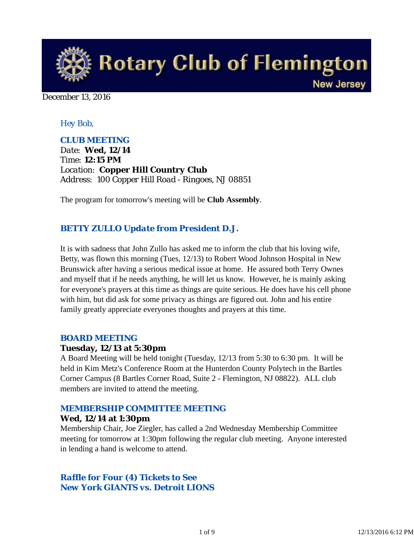

December 13, 2016

### *Hey Bob,*

### *CLUB MEETING*

*Date: Wed, 12/14 Time: 12:15 PM Location: Copper Hill Country Club Address: 100 Copper Hill Road - Ringoes, NJ 08851*

The program for tomorrow's meeting will be **Club Assembly**.

### *BETTY ZULLO Update from President D.J.*

It is with sadness that John Zullo has asked me to inform the club that his loving wife, Betty, was flown this morning (Tues, 12/13) to Robert Wood Johnson Hospital in New Brunswick after having a serious medical issue at home. He assured both Terry Ownes and myself that if he needs anything, he will let us know. However, he is mainly asking for everyone's prayers at this time as things are quite serious. He does have his cell phone with him, but did ask for some privacy as things are figured out. John and his entire family greatly appreciate everyones thoughts and prayers at this time.

#### *BOARD MEETING*

#### **Tuesday, 12/13 at 5:30pm**

A Board Meeting will be held tonight (Tuesday, 12/13 from 5:30 to 6:30 pm. It will be held in Kim Metz's Conference Room at the Hunterdon County Polytech in the Bartles Corner Campus (8 Bartles Corner Road, Suite 2 - Flemington, NJ 08822). ALL club members are invited to attend the meeting.

# *MEMBERSHIP COMMITTEE MEETING*

#### **Wed, 12/14 at 1:30pm**

Membership Chair, Joe Ziegler, has called a 2nd Wednesday Membership Committee meeting for tomorrow at 1:30pm following the regular club meeting. Anyone interested in lending a hand is welcome to attend.

### *Raffle for Four (4) Tickets to See New York GIANTS vs. Detroit LIONS*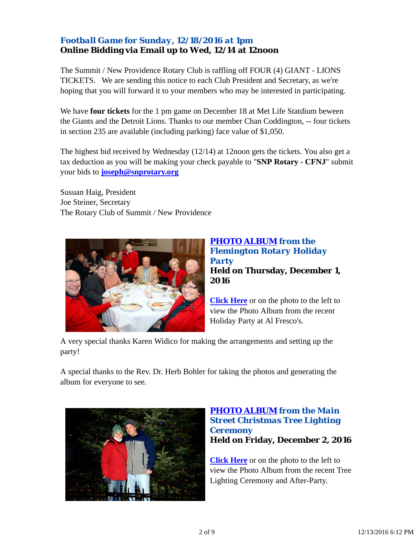## *Football Game for Sunday, 12/18/2016 at 1pm* **Online Bidding via Email up to Wed, 12/14 at 12noon**

The Summit / New Providence Rotary Club is raffling off FOUR (4) GIANT - LIONS TICKETS. We are sending this notice to each Club President and Secretary, as we're hoping that you will forward it to your members who may be interested in participating.

We have **four tickets** for the 1 pm game on December 18 at Met Life Statdium beween the Giants and the Detroit Lions. Thanks to our member Chan Coddington, -- four tickets in section 235 are available (including parking) face value of \$1,050.

The highest bid received by Wednesday (12/14) at 12noon gets the tickets. You also get a tax deduction as you will be making your check payable to "**SNP Rotary - CFNJ**" submit your bids to **joseph@snprotary.org**

Susuan Haig, President Joe Steiner, Secretary The Rotary Club of Summit / New Providence



## *PHOTO ALBUM from the Flemington Rotary Holiday Party* **Held on Thursday, December 1, 2016**

**Click Here** or on the photo to the left to view the Photo Album from the recent Holiday Party at Al Fresco's.

A very special thanks Karen Widico for making the arrangements and setting up the party!

A special thanks to the Rev. Dr. Herb Bohler for taking the photos and generating the album for everyone to see.



### *PHOTO ALBUM from the Main Street Christmas Tree Lighting Ceremony* **Held on Friday, December 2, 2016**

**Click Here** or on the photo to the left to view the Photo Album from the recent Tree Lighting Ceremony and After-Party.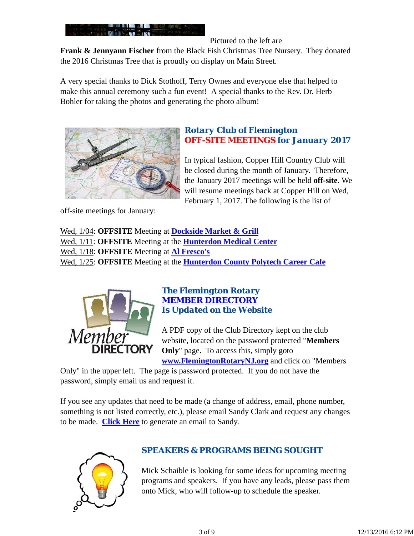

Pictured to the left are

**Frank & Jennyann Fischer** from the Black Fish Christmas Tree Nursery. They donated the 2016 Christmas Tree that is proudly on display on Main Street.

A very special thanks to Dick Stothoff, Terry Ownes and everyone else that helped to make this annual ceremony such a fun event! A special thanks to the Rev. Dr. Herb Bohler for taking the photos and generating the photo album!



off-site meetings for January:

### *Rotary Club of Flemington OFF-SITE MEETINGS for January 2017*

In typical fashion, Copper Hill Country Club will be closed during the month of January. Therefore, the January 2017 meetings will be held **off-site**. We will resume meetings back at Copper Hill on Wed, February 1, 2017. The following is the list of

Wed, 1/04: **OFFSITE** Meeting at **Dockside Market & Grill** Wed, 1/11: **OFFSITE** Meeting at the **Hunterdon Medical Center** Wed, 1/18: **OFFSITE** Meeting at **Al Fresco's** Wed, 1/25: **OFFSITE** Meeting at the **Hunterdon County Polytech Career Cafe**



### *The Flemington Rotary MEMBER DIRECTORY Is Updated on the Website*

A PDF copy of the Club Directory kept on the club website, located on the password protected "**Members Only**" page. To access this, simply goto **www.FlemingtonRotaryNJ.org** and click on "Members

Only" in the upper left. The page is password protected. If you do not have the password, simply email us and request it.

If you see any updates that need to be made (a change of address, email, phone number, something is not listed correctly, etc.), please email Sandy Clark and request any changes to be made. **Click Here** to generate an email to Sandy.



# *SPEAKERS & PROGRAMS BEING SOUGHT*

Mick Schaible is looking for some ideas for upcoming meeting programs and speakers. If you have any leads, please pass them onto Mick, who will follow-up to schedule the speaker.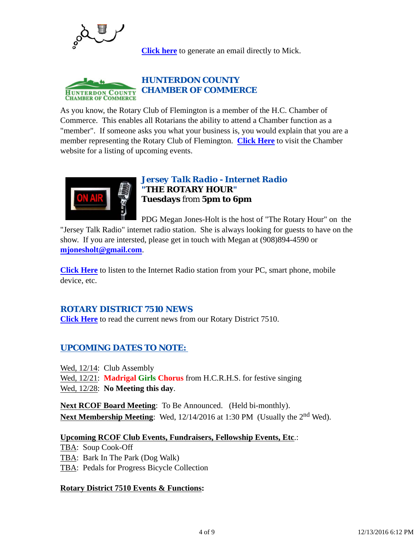

**Click here** to generate an email directly to Mick.



As you know, the Rotary Club of Flemington is a member of the H.C. Chamber of Commerce. This enables all Rotarians the ability to attend a Chamber function as a "member". If someone asks you what your business is, you would explain that you are a member representing the Rotary Club of Flemington. **Click Here** to visit the Chamber website for a listing of upcoming events.



### *Jersey Talk Radio - Internet Radio "THE ROTARY HOUR"* **Tuesdays** from **5pm to 6pm**

PDG Megan Jones-Holt is the host of "The Rotary Hour" on the "Jersey Talk Radio" internet radio station. She is always looking for guests to have on the show. If you are intersted, please get in touch with Megan at (908)894-4590 or **mjonesholt@gmail.com**.

**Click Here** to listen to the Internet Radio station from your PC, smart phone, mobile device, etc.

### *ROTARY DISTRICT 7510 NEWS*

**Click Here** to read the current news from our Rotary District 7510.

# *UPCOMING DATES TO NOTE:*

Wed, 12/14: Club Assembly Wed, 12/21: **Madrigal Girls Chorus** from H.C.R.H.S. for festive singing Wed, 12/28: **No Meeting this day**.

**Next RCOF Board Meeting**: To Be Announced. (Held bi-monthly). **Next Membership Meeting:** Wed, 12/14/2016 at 1:30 PM (Usually the 2<sup>nd</sup> Wed).

#### **Upcoming RCOF Club Events, Fundraisers, Fellowship Events, Etc**.:

TBA: Soup Cook-Off TBA: Bark In The Park (Dog Walk) TBA: Pedals for Progress Bicycle Collection

### **Rotary District 7510 Events & Functions:**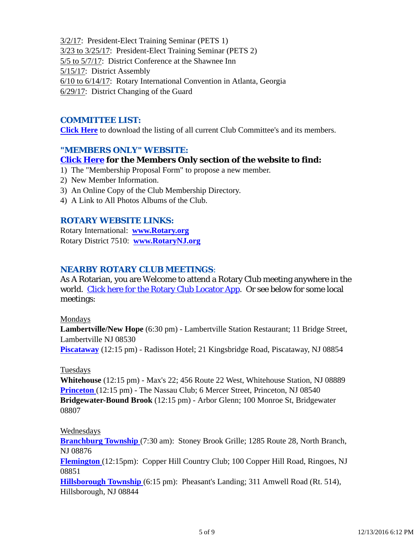3/2/17: President-Elect Training Seminar (PETS 1) 3/23 to 3/25/17: President-Elect Training Seminar (PETS 2) 5/5 to 5/7/17: District Conference at the Shawnee Inn 5/15/17: District Assembly 6/10 to 6/14/17: Rotary International Convention in Atlanta, Georgia 6/29/17: District Changing of the Guard

### *COMMITTEE LIST:*

**Click Here** to download the listing of all current Club Committee's and its members.

### *"MEMBERS ONLY" WEBSITE:*

### **Click Here for the Members Only section of the website to find:**

- 1) The "Membership Proposal Form" to propose a new member.
- 2) New Member Information.
- 3) An Online Copy of the Club Membership Directory.
- 4) A Link to All Photos Albums of the Club.

### *ROTARY WEBSITE LINKS:*

Rotary International: **www.Rotary.org** Rotary District 7510: **www.RotaryNJ.org**

### *NEARBY ROTARY CLUB MEETINGS:*

As A Rotarian, you are Welcome to attend a Rotary Club meeting anywhere in the world. Click here for the Rotary Club Locator App. Or see below for some local meetings:

#### Mondays

**Lambertville/New Hope** (6:30 pm) - Lambertville Station Restaurant; 11 Bridge Street, Lambertville NJ 08530

**Piscataway** (12:15 pm) - Radisson Hotel; 21 Kingsbridge Road, Piscataway, NJ 08854

### Tuesdays

**Whitehouse** (12:15 pm) - Max's 22; 456 Route 22 West, Whitehouse Station, NJ 08889 **Princeton** (12:15 pm) - The Nassau Club; 6 Mercer Street, Princeton, NJ 08540 **Bridgewater-Bound Brook** (12:15 pm) - Arbor Glenn; 100 Monroe St, Bridgewater 08807

### Wednesdays

**Branchburg Township** (7:30 am): Stoney Brook Grille; 1285 Route 28, North Branch, NJ 08876

**Flemington** (12:15pm): Copper Hill Country Club; 100 Copper Hill Road, Ringoes, NJ 08851

**Hillsborough Township** (6:15 pm): Pheasant's Landing; 311 Amwell Road (Rt. 514), Hillsborough, NJ 08844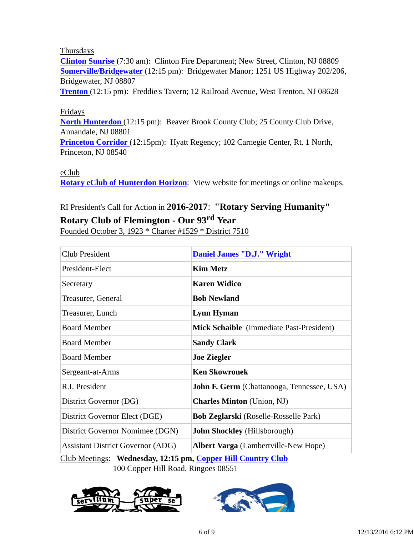#### Thursdays

**Clinton Sunrise** (7:30 am): Clinton Fire Department; New Street, Clinton, NJ 08809 **Somerville/Bridgewater** (12:15 pm): Bridgewater Manor; 1251 US Highway 202/206, Bridgewater, NJ 08807

**Trenton** (12:15 pm): Freddie's Tavern; 12 Railroad Avenue, West Trenton, NJ 08628

### Fridays

**North Hunterdon** (12:15 pm): Beaver Brook County Club; 25 County Club Drive, Annandale, NJ 08801

**Princeton Corridor** (12:15pm): Hyatt Regency; 102 Carnegie Center, Rt. 1 North, Princeton, NJ 08540

#### eClub

**Rotary eClub of Hunterdon Horizon**: View website for meetings or online makeups.

# RI President's Call for Action in **2016-2017**: **"Rotary Serving Humanity"**

## **Rotary Club of Flemington - Our 93rd Year**

Founded October 3, 1923 \* Charter #1529 \* District 7510

| <b>Club President</b>                    | <b>Daniel James "D.J." Wright</b>               |
|------------------------------------------|-------------------------------------------------|
| President-Elect                          | <b>Kim Metz</b>                                 |
| Secretary                                | <b>Karen Widico</b>                             |
| Treasurer, General                       | <b>Bob Newland</b>                              |
| Treasurer, Lunch                         | <b>Lynn Hyman</b>                               |
| <b>Board Member</b>                      | <b>Mick Schaible</b> (immediate Past-President) |
| <b>Board Member</b>                      | <b>Sandy Clark</b>                              |
| <b>Board Member</b>                      | <b>Joe Ziegler</b>                              |
| Sergeant-at-Arms                         | <b>Ken Skowronek</b>                            |
| R.I. President                           | John F. Germ (Chattanooga, Tennessee, USA)      |
| District Governor (DG)                   | <b>Charles Minton</b> (Union, NJ)               |
| District Governor Elect (DGE)            | <b>Bob Zeglarski</b> (Roselle-Rosselle Park)    |
| District Governor Nomimee (DGN)          | <b>John Shockley</b> (Hillsborough)             |
| <b>Assistant District Governor (ADG)</b> | Albert Varga (Lambertville-New Hope)            |

Club Meetings: **Wednesday, 12:15 pm, Copper Hill Country Club** 100 Copper Hill Road, Ringoes 08551



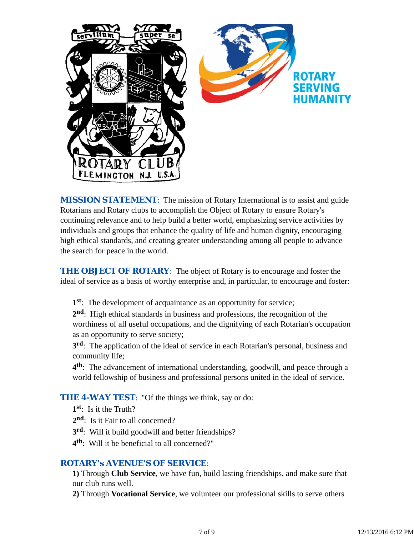

*MISSION STATEMENT*: The mission of Rotary International is to assist and guide Rotarians and Rotary clubs to accomplish the Object of Rotary to ensure Rotary's continuing relevance and to help build a better world, emphasizing service activities by individuals and groups that enhance the quality of life and human dignity, encouraging high ethical standards, and creating greater understanding among all people to advance the search for peace in the world.

**THE OBJECT OF ROTARY:** The object of Rotary is to encourage and foster the ideal of service as a basis of worthy enterprise and, in particular, to encourage and foster:

**1st**: The development of acquaintance as an opportunity for service;

**2nd**: High ethical standards in business and professions, the recognition of the worthiness of all useful occupations, and the dignifying of each Rotarian's occupation as an opportunity to serve society;

**3rd**: The application of the ideal of service in each Rotarian's personal, business and community life;

**4th**: The advancement of international understanding, goodwill, and peace through a world fellowship of business and professional persons united in the ideal of service.

### **THE 4-WAY TEST:** "Of the things we think, say or do:

- **1st**: Is it the Truth?
- 2<sup>nd</sup>: Is it Fair to all concerned?
- **3rd**: Will it build goodwill and better friendships?
- **4th**: Will it be beneficial to all concerned?"

#### *ROTARY's AVENUE'S OF SERVICE*:

**1)** Through **Club Service**, we have fun, build lasting friendships, and make sure that our club runs well.

**2)** Through **Vocational Service**, we volunteer our professional skills to serve others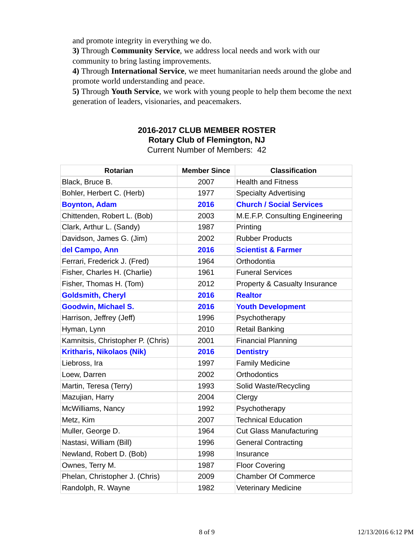and promote integrity in everything we do.

**3)** Through **Community Service**, we address local needs and work with our community to bring lasting improvements.

**4)** Through **International Service**, we meet humanitarian needs around the globe and promote world understanding and peace.

**5)** Through **Youth Service**, we work with young people to help them become the next generation of leaders, visionaries, and peacemakers.

# **2016-2017 CLUB MEMBER ROSTER Rotary Club of Flemington, NJ**

Current Number of Members: 42

| <b>Rotarian</b>                   | <b>Member Since</b> | <b>Classification</b>           |
|-----------------------------------|---------------------|---------------------------------|
| Black, Bruce B.                   | 2007                | <b>Health and Fitness</b>       |
| Bohler, Herbert C. (Herb)         | 1977                | <b>Specialty Advertising</b>    |
| <b>Boynton, Adam</b>              | 2016                | <b>Church / Social Services</b> |
| Chittenden, Robert L. (Bob)       | 2003                | M.E.F.P. Consulting Engineering |
| Clark, Arthur L. (Sandy)          | 1987                | Printing                        |
| Davidson, James G. (Jim)          | 2002                | <b>Rubber Products</b>          |
| del Campo, Ann                    | 2016                | <b>Scientist &amp; Farmer</b>   |
| Ferrari, Frederick J. (Fred)      | 1964                | Orthodontia                     |
| Fisher, Charles H. (Charlie)      | 1961                | <b>Funeral Services</b>         |
| Fisher, Thomas H. (Tom)           | 2012                | Property & Casualty Insurance   |
| <b>Goldsmith, Cheryl</b>          | 2016                | <b>Realtor</b>                  |
| <b>Goodwin, Michael S.</b>        | 2016                | <b>Youth Development</b>        |
| Harrison, Jeffrey (Jeff)          | 1996                | Psychotherapy                   |
| Hyman, Lynn                       | 2010                | <b>Retail Banking</b>           |
| Kamnitsis, Christopher P. (Chris) | 2001                | <b>Financial Planning</b>       |
| <b>Kritharis, Nikolaos (Nik)</b>  | 2016                | <b>Dentistry</b>                |
| Liebross, Ira                     | 1997                | <b>Family Medicine</b>          |
| Loew, Darren                      | 2002                | <b>Orthodontics</b>             |
| Martin, Teresa (Terry)            | 1993                | Solid Waste/Recycling           |
| Mazujian, Harry                   | 2004                | Clergy                          |
| McWilliams, Nancy                 | 1992                | Psychotherapy                   |
| Metz, Kim                         | 2007                | <b>Technical Education</b>      |
| Muller, George D.                 | 1964                | <b>Cut Glass Manufacturing</b>  |
| Nastasi, William (Bill)           | 1996                | <b>General Contracting</b>      |
| Newland, Robert D. (Bob)          | 1998                | Insurance                       |
| Ownes, Terry M.                   | 1987                | <b>Floor Covering</b>           |
| Phelan, Christopher J. (Chris)    | 2009                | <b>Chamber Of Commerce</b>      |
| Randolph, R. Wayne                | 1982                | <b>Veterinary Medicine</b>      |